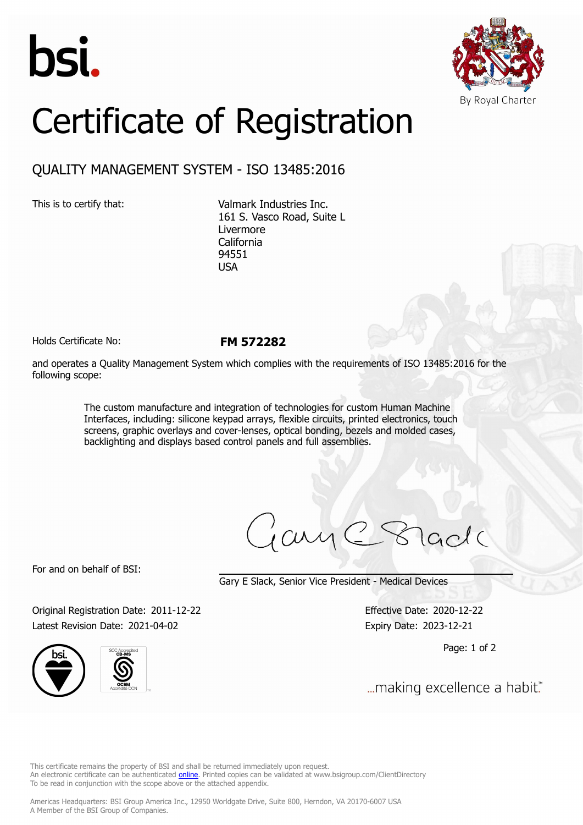



## Certificate of Registration

## QUALITY MANAGEMENT SYSTEM - ISO 13485:2016

This is to certify that: Valmark Industries Inc. 161 S. Vasco Road, Suite L Livermore California 94551 USA

Holds Certificate No: **FM 572282**

and operates a Quality Management System which complies with the requirements of ISO 13485:2016 for the following scope:

> The custom manufacture and integration of technologies for custom Human Machine Interfaces, including: silicone keypad arrays, flexible circuits, printed electronics, touch screens, graphic overlays and cover-lenses, optical bonding, bezels and molded cases, backlighting and displays based control panels and full assemblies.

ary

For and on behalf of BSI:

Gary E Slack, Senior Vice President - Medical Devices

Original Registration Date: 2011-12-22 Effective Date: 2020-12-22 Latest Revision Date: 2021-04-02 Expiry Date: 2023-12-21





Page: 1 of 2

... making excellence a habit."

This certificate remains the property of BSI and shall be returned immediately upon request. An electronic certificate can be authenticated *[online](https://pgplus.bsigroup.com/CertificateValidation/CertificateValidator.aspx?CertificateNumber=FM+572282&ReIssueDate=02%2f04%2f2021&Template=inc)*. Printed copies can be validated at www.bsigroup.com/ClientDirectory To be read in conjunction with the scope above or the attached appendix.

Americas Headquarters: BSI Group America Inc., 12950 Worldgate Drive, Suite 800, Herndon, VA 20170-6007 USA A Member of the BSI Group of Companies.